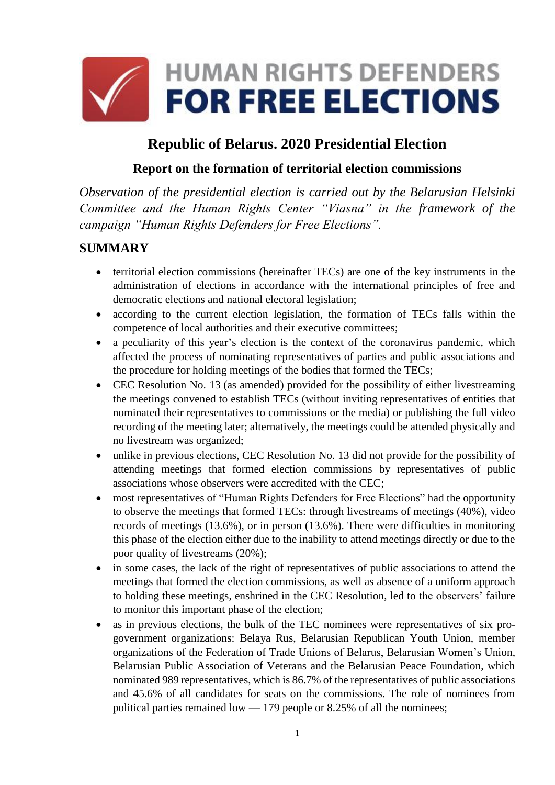

# **Republic of Belarus. 2020 Presidential Election**

#### **Report on the formation of territorial election commissions**

*Observation of the presidential election is carried out by the Belarusian Helsinki Committee and the Human Rights Center "Viasna" in the framework of the campaign "Human Rights Defenders for Free Elections".*

#### **SUMMARY**

- territorial election commissions (hereinafter TECs) are one of the key instruments in the administration of elections in accordance with the international principles of free and democratic elections and national electoral legislation;
- according to the current election legislation, the formation of TECs falls within the competence of local authorities and their executive committees;
- a peculiarity of this year's election is the context of the coronavirus pandemic, which affected the process of nominating representatives of parties and public associations and the procedure for holding meetings of the bodies that formed the TECs;
- CEC Resolution No. 13 (as amended) provided for the possibility of either livestreaming the meetings convened to establish TECs (without inviting representatives of entities that nominated their representatives to commissions or the media) or publishing the full video recording of the meeting later; alternatively, the meetings could be attended physically and no livestream was organized;
- unlike in previous elections, CEC Resolution No. 13 did not provide for the possibility of attending meetings that formed election commissions by representatives of public associations whose observers were accredited with the CEC;
- most representatives of "Human Rights Defenders for Free Elections" had the opportunity to observe the meetings that formed TECs: through livestreams of meetings (40%), video records of meetings (13.6%), or in person (13.6%). There were difficulties in monitoring this phase of the election either due to the inability to attend meetings directly or due to the poor quality of livestreams (20%);
- in some cases, the lack of the right of representatives of public associations to attend the meetings that formed the election commissions, as well as absence of a uniform approach to holding these meetings, enshrined in the CEC Resolution, led to the observers' failure to monitor this important phase of the election;
- as in previous elections, the bulk of the TEC nominees were representatives of six progovernment organizations: Belaya Rus, Belarusian Republican Youth Union, member organizations of the Federation of Trade Unions of Belarus, Belarusian Women's Union, Belarusian Public Association of Veterans and the Belarusian Peace Foundation, which nominated 989 representatives, which is 86.7% of the representatives of public associations and 45.6% of all candidates for seats on the commissions. The role of nominees from political parties remained low — 179 people or 8.25% of all the nominees;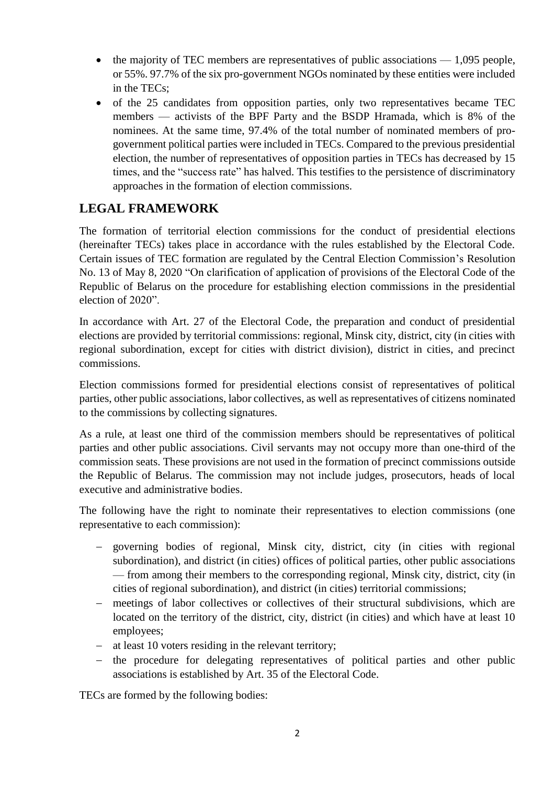- $\bullet$  the majority of TEC members are representatives of public associations  $-1.095$  people, or 55%. 97.7% of the six pro-government NGOs nominated by these entities were included in the TECs;
- of the 25 candidates from opposition parties, only two representatives became TEC members — activists of the BPF Party and the BSDP Hramada, which is 8% of the nominees. At the same time, 97.4% of the total number of nominated members of progovernment political parties were included in TECs. Compared to the previous presidential election, the number of representatives of opposition parties in TECs has decreased by 15 times, and the "success rate" has halved. This testifies to the persistence of discriminatory approaches in the formation of election commissions.

#### **LEGAL FRAMEWORK**

The formation of territorial election commissions for the conduct of presidential elections (hereinafter TECs) takes place in accordance with the rules established by the Electoral Code. Certain issues of TEC formation are regulated by the Central Election Commission's Resolution No. 13 of May 8, 2020 "On clarification of application of provisions of the Electoral Code of the Republic of Belarus on the procedure for establishing election commissions in the presidential election of 2020".

In accordance with Art. 27 of the Electoral Code, the preparation and conduct of presidential elections are provided by territorial commissions: regional, Minsk city, district, city (in cities with regional subordination, except for cities with district division), district in cities, and precinct commissions.

Election commissions formed for presidential elections consist of representatives of political parties, other public associations, labor collectives, as well as representatives of citizens nominated to the commissions by collecting signatures.

As a rule, at least one third of the commission members should be representatives of political parties and other public associations. Civil servants may not occupy more than one-third of the commission seats. These provisions are not used in the formation of precinct commissions outside the Republic of Belarus. The commission may not include judges, prosecutors, heads of local executive and administrative bodies.

The following have the right to nominate their representatives to election commissions (one representative to each commission):

- governing bodies of regional, Minsk city, district, city (in cities with regional subordination), and district (in cities) offices of political parties, other public associations — from among their members to the corresponding regional, Minsk city, district, city (in cities of regional subordination), and district (in cities) territorial commissions;
- meetings of labor collectives or collectives of their structural subdivisions, which are located on the territory of the district, city, district (in cities) and which have at least 10 employees;
- at least 10 voters residing in the relevant territory;
- the procedure for delegating representatives of political parties and other public associations is established by Art. 35 of the Electoral Code.

TECs are formed by the following bodies: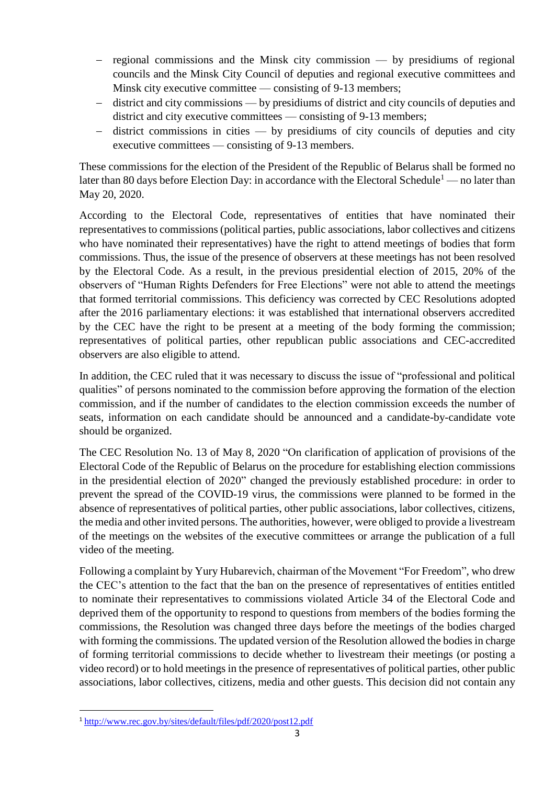- $-$  regional commissions and the Minsk city commission  $-$  by presidiums of regional councils and the Minsk City Council of deputies and regional executive committees and Minsk city executive committee — consisting of 9-13 members;
- district and city commissions by presidiums of district and city councils of deputies and district and city executive committees — consisting of 9-13 members;
- $-$  district commissions in cities  $-$  by presidiums of city councils of deputies and city executive committees — consisting of 9-13 members.

These commissions for the election of the President of the Republic of Belarus shall be formed no later than 80 days before Election Day: in accordance with the Electoral Schedule<sup>1</sup> — no later than May 20, 2020.

According to the Electoral Code, representatives of entities that have nominated their representatives to commissions (political parties, public associations, labor collectives and citizens who have nominated their representatives) have the right to attend meetings of bodies that form commissions. Thus, the issue of the presence of observers at these meetings has not been resolved by the Electoral Code. As a result, in the previous presidential election of 2015, 20% of the observers of "Human Rights Defenders for Free Elections" were not able to attend the meetings that formed territorial commissions. This deficiency was corrected by CEC Resolutions adopted after the 2016 parliamentary elections: it was established that international observers accredited by the CEC have the right to be present at a meeting of the body forming the commission; representatives of political parties, other republican public associations and CEC-accredited observers are also eligible to attend.

In addition, the CEC ruled that it was necessary to discuss the issue of "professional and political qualities" of persons nominated to the commission before approving the formation of the election commission, and if the number of candidates to the election commission exceeds the number of seats, information on each candidate should be announced and a candidate-by-candidate vote should be organized.

The CEC Resolution No. 13 of May 8, 2020 "On clarification of application of provisions of the Electoral Code of the Republic of Belarus on the procedure for establishing election commissions in the presidential election of 2020" changed the previously established procedure: in order to prevent the spread of the COVID-19 virus, the commissions were planned to be formed in the absence of representatives of political parties, other public associations, labor collectives, citizens, the media and other invited persons. The authorities, however, were obliged to provide a livestream of the meetings on the websites of the executive committees or arrange the publication of a full video of the meeting.

Following a complaint by Yury Hubarevich, chairman of the Movement "For Freedom", who drew the CEC's attention to the fact that the ban on the presence of representatives of entities entitled to nominate their representatives to commissions violated Article 34 of the Electoral Code and deprived them of the opportunity to respond to questions from members of the bodies forming the commissions, the Resolution was changed three days before the meetings of the bodies charged with forming the commissions. The updated version of the Resolution allowed the bodies in charge of forming territorial commissions to decide whether to livestream their meetings (or posting a video record) or to hold meetings in the presence of representatives of political parties, other public associations, labor collectives, citizens, media and other guests. This decision did not contain any

**<sup>.</sup>** <sup>1</sup> <http://www.rec.gov.by/sites/default/files/pdf/2020/post12.pdf>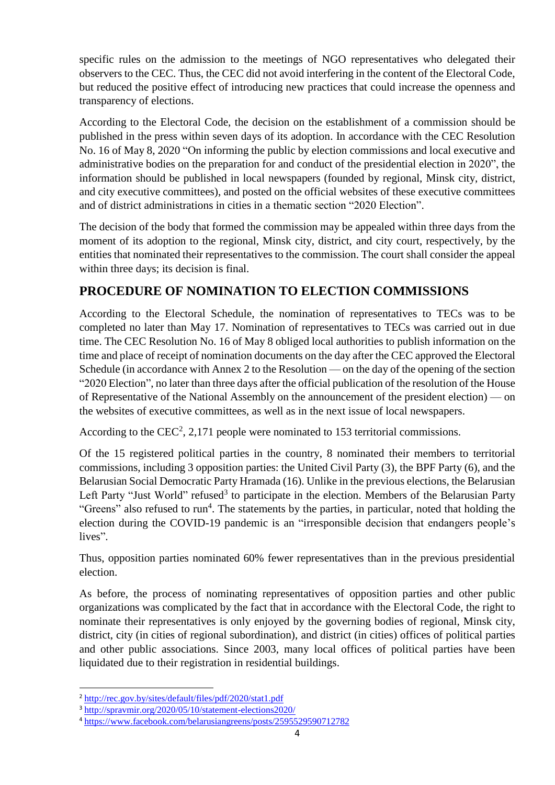specific rules on the admission to the meetings of NGO representatives who delegated their observers to the CEC. Thus, the CEC did not avoid interfering in the content of the Electoral Code, but reduced the positive effect of introducing new practices that could increase the openness and transparency of elections.

According to the Electoral Code, the decision on the establishment of a commission should be published in the press within seven days of its adoption. In accordance with the CEC Resolution No. 16 of May 8, 2020 "On informing the public by election commissions and local executive and administrative bodies on the preparation for and conduct of the presidential election in 2020", the information should be published in local newspapers (founded by regional, Minsk city, district, and city executive committees), and posted on the official websites of these executive committees and of district administrations in cities in a thematic section "2020 Election".

The decision of the body that formed the commission may be appealed within three days from the moment of its adoption to the regional, Minsk city, district, and city court, respectively, by the entities that nominated their representatives to the commission. The court shall consider the appeal within three days; its decision is final.

## **PROCEDURE OF NOMINATION TO ELECTION COMMISSIONS**

According to the Electoral Schedule, the nomination of representatives to TECs was to be completed no later than May 17. Nomination of representatives to TECs was carried out in due time. The CEC Resolution No. 16 of May 8 obliged local authorities to publish information on the time and place of receipt of nomination documents on the day after the CEC approved the Electoral Schedule (in accordance with Annex 2 to the Resolution — on the day of the opening of the section "2020 Election", no later than three days after the official publication of the resolution of the House of Representative of the National Assembly on the announcement of the president election) — on the websites of executive committees, as well as in the next issue of local newspapers.

According to the CEC<sup>2</sup>, 2,171 people were nominated to 153 territorial commissions.

Of the 15 registered political parties in the country, 8 nominated their members to territorial commissions, including 3 opposition parties: the United Civil Party (3), the BPF Party (6), and the Belarusian Social Democratic Party Hramada (16). Unlike in the previous elections, the Belarusian Left Party "Just World" refused<sup>3</sup> to participate in the election. Members of the Belarusian Party "Greens" also refused to run<sup>4</sup>. The statements by the parties, in particular, noted that holding the election during the COVID-19 pandemic is an "irresponsible decision that endangers people's lives".

Thus, opposition parties nominated 60% fewer representatives than in the previous presidential election.

As before, the process of nominating representatives of opposition parties and other public organizations was complicated by the fact that in accordance with the Electoral Code, the right to nominate their representatives is only enjoyed by the governing bodies of regional, Minsk city, district, city (in cities of regional subordination), and district (in cities) offices of political parties and other public associations. Since 2003, many local offices of political parties have been liquidated due to their registration in residential buildings.

**.** 

<sup>2</sup> <http://rec.gov.by/sites/default/files/pdf/2020/stat1.pdf>

<sup>3</sup> <http://spravmir.org/2020/05/10/statement-elections2020/>

<sup>4</sup> <https://www.facebook.com/belarusiangreens/posts/2595529590712782>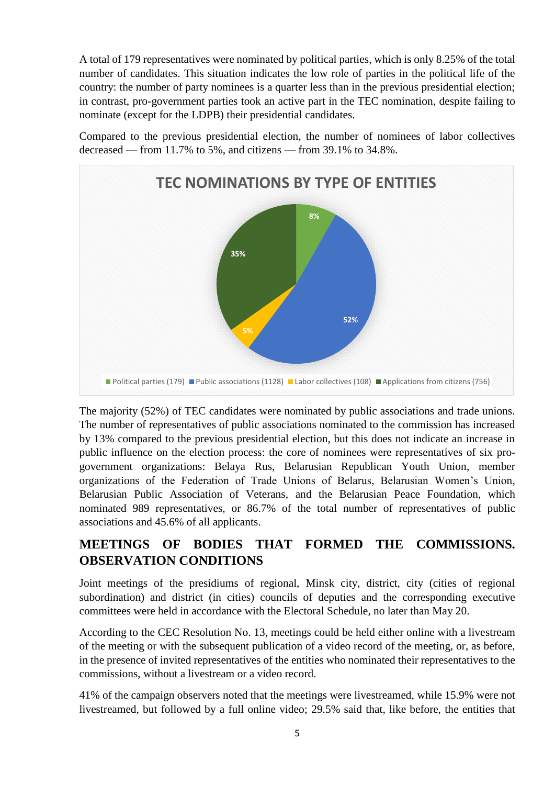A total of 179 representatives were nominated by political parties, which is only 8.25% of the total number of candidates. This situation indicates the low role of parties in the political life of the country: the number of party nominees is a quarter less than in the previous presidential election; in contrast, pro-government parties took an active part in the TEC nomination, despite failing to nominate (except for the LDPB) their presidential candidates.

Compared to the previous presidential election, the number of nominees of labor collectives decreased — from 11.7% to 5%, and citizens — from 39.1% to 34.8%.



The majority (52%) of TEC candidates were nominated by public associations and trade unions. The number of representatives of public associations nominated to the commission has increased by 13% compared to the previous presidential election, but this does not indicate an increase in public influence on the election process: the core of nominees were representatives of six progovernment organizations: Belaya Rus, Belarusian Republican Youth Union, member organizations of the Federation of Trade Unions of Belarus, Belarusian Women's Union, Belarusian Public Association of Veterans, and the Belarusian Peace Foundation, which nominated 989 representatives, or 86.7% of the total number of representatives of public associations and 45.6% of all applicants.

### **MEETINGS OF BODIES THAT FORMED THE COMMISSIONS. OBSERVATION CONDITIONS**

Joint meetings of the presidiums of regional, Minsk city, district, city (cities of regional subordination) and district (in cities) councils of deputies and the corresponding executive committees were held in accordance with the Electoral Schedule, no later than May 20.

According to the CEC Resolution No. 13, meetings could be held either online with a livestream of the meeting or with the subsequent publication of a video record of the meeting, or, as before, in the presence of invited representatives of the entities who nominated their representatives to the commissions, without a livestream or a video record.

41% of the campaign observers noted that the meetings were livestreamed, while 15.9% were not livestreamed, but followed by a full online video; 29.5% said that, like before, the entities that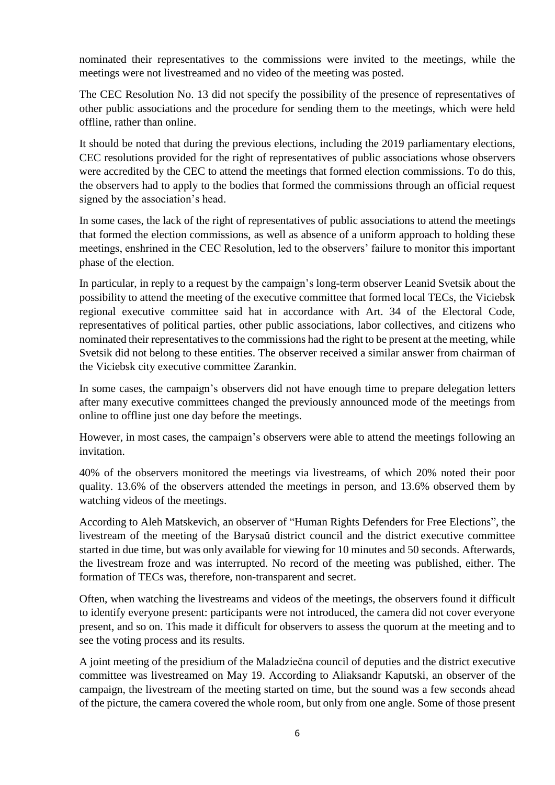nominated their representatives to the commissions were invited to the meetings, while the meetings were not livestreamed and no video of the meeting was posted.

The CEC Resolution No. 13 did not specify the possibility of the presence of representatives of other public associations and the procedure for sending them to the meetings, which were held offline, rather than online.

It should be noted that during the previous elections, including the 2019 parliamentary elections, CEC resolutions provided for the right of representatives of public associations whose observers were accredited by the CEC to attend the meetings that formed election commissions. To do this, the observers had to apply to the bodies that formed the commissions through an official request signed by the association's head.

In some cases, the lack of the right of representatives of public associations to attend the meetings that formed the election commissions, as well as absence of a uniform approach to holding these meetings, enshrined in the CEC Resolution, led to the observers' failure to monitor this important phase of the election.

In particular, in reply to a request by the campaign's long-term observer Leanid Svetsik about the possibility to attend the meeting of the executive committee that formed local TECs, the Viciebsk regional executive committee said hat in accordance with Art. 34 of the Electoral Code, representatives of political parties, other public associations, labor collectives, and citizens who nominated their representatives to the commissions had the right to be present at the meeting, while Svetsik did not belong to these entities. The observer received a similar answer from chairman of the Viciebsk city executive committee Zarankin.

In some cases, the campaign's observers did not have enough time to prepare delegation letters after many executive committees changed the previously announced mode of the meetings from online to offline just one day before the meetings.

However, in most cases, the campaign's observers were able to attend the meetings following an invitation.

40% of the observers monitored the meetings via livestreams, of which 20% noted their poor quality. 13.6% of the observers attended the meetings in person, and 13.6% observed them by watching videos of the meetings.

According to Aleh Matskevich, an observer of "Human Rights Defenders for Free Elections", the livestream of the meeting of the Barysaŭ district council and the district executive committee started in due time, but was only available for viewing for 10 minutes and 50 seconds. Afterwards, the livestream froze and was interrupted. No record of the meeting was published, either. The formation of TECs was, therefore, non-transparent and secret.

Often, when watching the livestreams and videos of the meetings, the observers found it difficult to identify everyone present: participants were not introduced, the camera did not cover everyone present, and so on. This made it difficult for observers to assess the quorum at the meeting and to see the voting process and its results.

A joint meeting of the presidium of the Maladziečna council of deputies and the district executive committee was livestreamed on May 19. According to Aliaksandr Kaputski, an observer of the campaign, the livestream of the meeting started on time, but the sound was a few seconds ahead of the picture, the camera covered the whole room, but only from one angle. Some of those present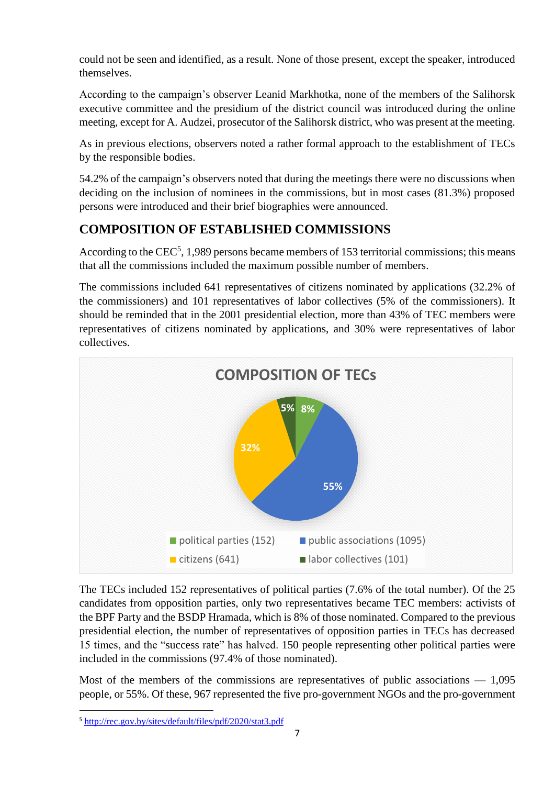could not be seen and identified, as a result. None of those present, except the speaker, introduced themselves.

According to the campaign's observer Leanid Markhotka, none of the members of the Salihorsk executive committee and the presidium of the district council was introduced during the online meeting, except for A. Audzei, prosecutor of the Salihorsk district, who was present at the meeting.

As in previous elections, observers noted a rather formal approach to the establishment of TECs by the responsible bodies.

54.2% of the campaign's observers noted that during the meetings there were no discussions when deciding on the inclusion of nominees in the commissions, but in most cases (81.3%) proposed persons were introduced and their brief biographies were announced.

## **COMPOSITION OF ESTABLISHED COMMISSIONS**

According to the CEC<sup>5</sup>, 1,989 persons became members of 153 territorial commissions; this means that all the commissions included the maximum possible number of members.

The commissions included 641 representatives of citizens nominated by applications (32.2% of the commissioners) and 101 representatives of labor collectives (5% of the commissioners). It should be reminded that in the 2001 presidential election, more than 43% of TEC members were representatives of citizens nominated by applications, and 30% were representatives of labor collectives.



The TECs included 152 representatives of political parties (7.6% of the total number). Of the 25 candidates from opposition parties, only two representatives became TEC members: activists of the BPF Party and the BSDP Hramada, which is 8% of those nominated. Compared to the previous presidential election, the number of representatives of opposition parties in TECs has decreased 15 times, and the "success rate" has halved. 150 people representing other political parties were included in the commissions (97.4% of those nominated).

Most of the members of the commissions are representatives of public associations  $-1.095$ people, or 55%. Of these, 967 represented the five pro-government NGOs and the pro-government

**<sup>.</sup>** <sup>5</sup> <http://rec.gov.by/sites/default/files/pdf/2020/stat3.pdf>